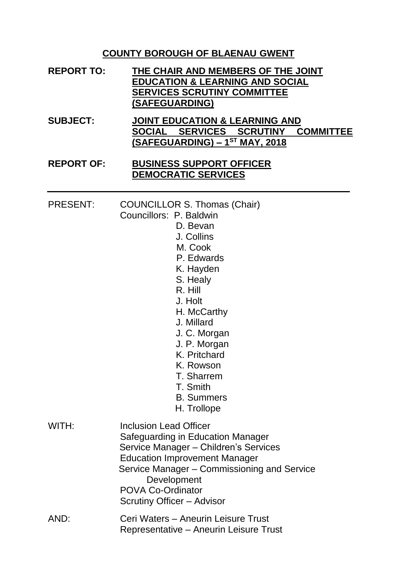#### **COUNTY BOROUGH OF BLAENAU GWENT**

| <b>REPORT TO:</b> | THE CHAIR AND MEMBERS OF THE JOINT         |
|-------------------|--------------------------------------------|
|                   | <b>EDUCATION &amp; LEARNING AND SOCIAL</b> |
|                   | <b>SERVICES SCRUTINY COMMITTEE</b>         |
|                   | (SAFEGUARDING)                             |
|                   |                                            |

**SUBJECT: JOINT EDUCATION & LEARNING AND SOCIAL SERVICES SCRUTINY COMMITTEE (SAFEGUARDING) – 1 ST MAY, 2018**

#### **REPORT OF: BUSINESS SUPPORT OFFICER DEMOCRATIC SERVICES**

PRESENT: COUNCILLOR S. Thomas (Chair)

- Councillors: P. Baldwin
	- D. Bevan
		- J. Collins
		- M. Cook
		- P. Edwards
		- K. Hayden
		- S. Healy
	- R. Hill
	- J. Holt
	- H. McCarthy
	- J. Millard
	- J. C. Morgan
	- J. P. Morgan
	- K. Pritchard
	- K. Rowson
	- T. Sharrem
	- T. Smith
	- B. Summers
	- H. Trollope

| WITH: | <b>Inclusion Lead Officer</b>               |
|-------|---------------------------------------------|
|       | Safeguarding in Education Manager           |
|       | Service Manager - Children's Services       |
|       | <b>Education Improvement Manager</b>        |
|       | Service Manager - Commissioning and Service |
|       | Development                                 |
|       | <b>POVA Co-Ordinator</b>                    |
|       | Scrutiny Officer - Advisor                  |
| AND:  | Ceri Waters - Aneurin Leisure Trust         |

Representative – Aneurin Leisure Trust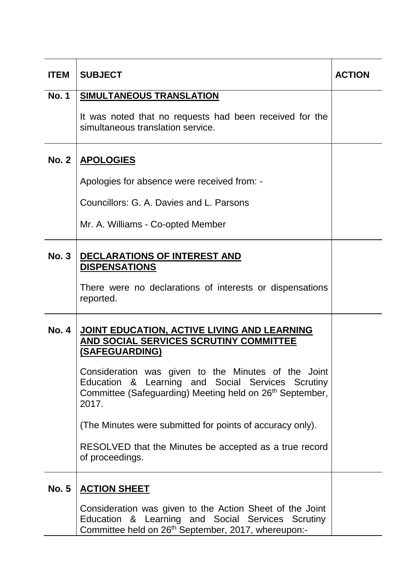| <b>ITEM</b>  | <b>SUBJECT</b>                                                                                                                                                                            | <b>ACTION</b> |
|--------------|-------------------------------------------------------------------------------------------------------------------------------------------------------------------------------------------|---------------|
| <b>No. 1</b> | <b>SIMULTANEOUS TRANSLATION</b>                                                                                                                                                           |               |
|              | It was noted that no requests had been received for the<br>simultaneous translation service.                                                                                              |               |
| <b>No. 2</b> | <b>APOLOGIES</b>                                                                                                                                                                          |               |
|              | Apologies for absence were received from: -                                                                                                                                               |               |
|              | Councillors: G. A. Davies and L. Parsons                                                                                                                                                  |               |
|              | Mr. A. Williams - Co-opted Member                                                                                                                                                         |               |
| <b>No. 3</b> | <b>DECLARATIONS OF INTEREST AND</b><br><b>DISPENSATIONS</b>                                                                                                                               |               |
|              | There were no declarations of interests or dispensations<br>reported.                                                                                                                     |               |
| <b>No. 4</b> | JOINT EDUCATION, ACTIVE LIVING AND LEARNING<br>AND SOCIAL SERVICES SCRUTINY COMMITTEE<br><b>(SAFEGUARDING)</b>                                                                            |               |
|              | Consideration was given to the Minutes of the Joint<br>Education & Learning and Social Services Scrutiny<br>Committee (Safeguarding) Meeting held on 26 <sup>th</sup> September,<br>2017. |               |
|              | (The Minutes were submitted for points of accuracy only).                                                                                                                                 |               |
|              | RESOLVED that the Minutes be accepted as a true record<br>of proceedings.                                                                                                                 |               |
| <b>No. 5</b> | <b>ACTION SHEET</b>                                                                                                                                                                       |               |
|              | Consideration was given to the Action Sheet of the Joint<br>Education & Learning and Social Services Scrutiny<br>Committee held on 26 <sup>th</sup> September, 2017, whereupon:-          |               |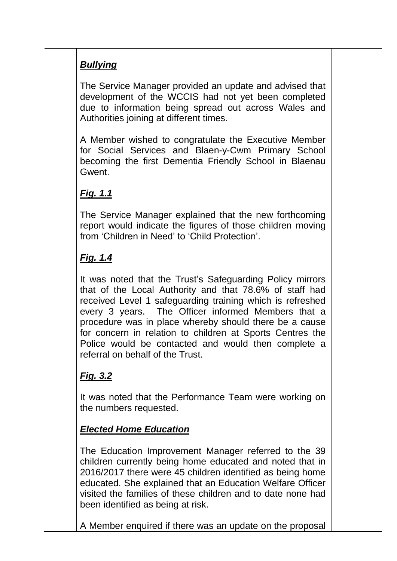# *Bullying*

The Service Manager provided an update and advised that development of the WCCIS had not yet been completed due to information being spread out across Wales and Authorities joining at different times.

A Member wished to congratulate the Executive Member for Social Services and Blaen-y-Cwm Primary School becoming the first Dementia Friendly School in Blaenau Gwent.

# *Fig. 1.1*

The Service Manager explained that the new forthcoming report would indicate the figures of those children moving from 'Children in Need' to 'Child Protection'.

# *Fig. 1.4*

It was noted that the Trust's Safeguarding Policy mirrors that of the Local Authority and that 78.6% of staff had received Level 1 safeguarding training which is refreshed every 3 years. The Officer informed Members that a procedure was in place whereby should there be a cause for concern in relation to children at Sports Centres the Police would be contacted and would then complete a referral on behalf of the Trust.

# *Fig. 3.2*

It was noted that the Performance Team were working on the numbers requested.

## *Elected Home Education*

The Education Improvement Manager referred to the 39 children currently being home educated and noted that in 2016/2017 there were 45 children identified as being home educated. She explained that an Education Welfare Officer visited the families of these children and to date none had been identified as being at risk.

A Member enquired if there was an update on the proposal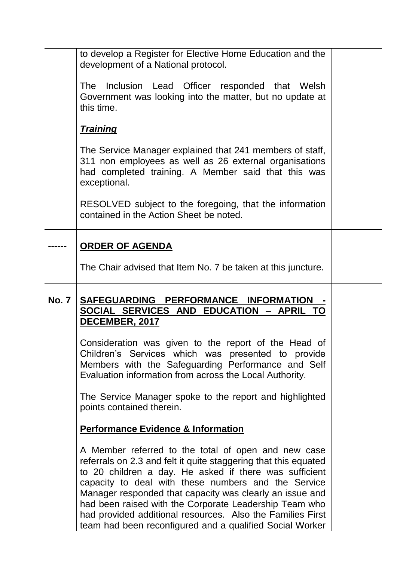|              | to develop a Register for Elective Home Education and the<br>development of a National protocol.                                                                                                                                                                                                                                                                                                                            |  |
|--------------|-----------------------------------------------------------------------------------------------------------------------------------------------------------------------------------------------------------------------------------------------------------------------------------------------------------------------------------------------------------------------------------------------------------------------------|--|
|              | The Inclusion Lead Officer responded that Welsh<br>Government was looking into the matter, but no update at<br>this time.                                                                                                                                                                                                                                                                                                   |  |
|              | <u>Training</u>                                                                                                                                                                                                                                                                                                                                                                                                             |  |
|              | The Service Manager explained that 241 members of staff,<br>311 non employees as well as 26 external organisations<br>had completed training. A Member said that this was<br>exceptional.                                                                                                                                                                                                                                   |  |
|              | RESOLVED subject to the foregoing, that the information<br>contained in the Action Sheet be noted.                                                                                                                                                                                                                                                                                                                          |  |
|              | <b>ORDER OF AGENDA</b>                                                                                                                                                                                                                                                                                                                                                                                                      |  |
|              | The Chair advised that Item No. 7 be taken at this juncture.                                                                                                                                                                                                                                                                                                                                                                |  |
| <b>No. 7</b> | SAFEGUARDING PERFORMANCE INFORMATION<br>SOCIAL SERVICES AND EDUCATION - APRIL TO<br>DECEMBER, 2017                                                                                                                                                                                                                                                                                                                          |  |
|              | Consideration was given to the report of the Head of<br>Children's Services which was presented to provide<br>Members with the Safeguarding Performance and Self<br>Evaluation information from across the Local Authority.                                                                                                                                                                                                 |  |
|              | The Service Manager spoke to the report and highlighted<br>points contained therein.                                                                                                                                                                                                                                                                                                                                        |  |
|              | <b>Performance Evidence &amp; Information</b>                                                                                                                                                                                                                                                                                                                                                                               |  |
|              | A Member referred to the total of open and new case<br>referrals on 2.3 and felt it quite staggering that this equated<br>to 20 children a day. He asked if there was sufficient<br>capacity to deal with these numbers and the Service<br>Manager responded that capacity was clearly an issue and<br>had been raised with the Corporate Leadership Team who<br>had provided additional resources. Also the Families First |  |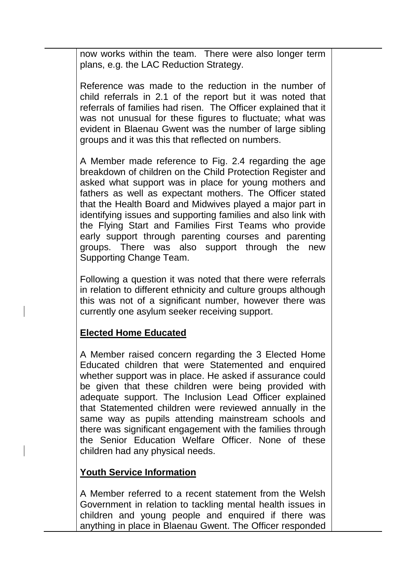now works within the team. There were also longer term plans, e.g. the LAC Reduction Strategy.

Reference was made to the reduction in the number of child referrals in 2.1 of the report but it was noted that referrals of families had risen. The Officer explained that it was not unusual for these figures to fluctuate; what was evident in Blaenau Gwent was the number of large sibling groups and it was this that reflected on numbers.

A Member made reference to Fig. 2.4 regarding the age breakdown of children on the Child Protection Register and asked what support was in place for young mothers and fathers as well as expectant mothers. The Officer stated that the Health Board and Midwives played a major part in identifying issues and supporting families and also link with the Flying Start and Families First Teams who provide early support through parenting courses and parenting groups. There was also support through the new Supporting Change Team.

Following a question it was noted that there were referrals in relation to different ethnicity and culture groups although this was not of a significant number, however there was currently one asylum seeker receiving support.

#### **Elected Home Educated**

A Member raised concern regarding the 3 Elected Home Educated children that were Statemented and enquired whether support was in place. He asked if assurance could be given that these children were being provided with adequate support. The Inclusion Lead Officer explained that Statemented children were reviewed annually in the same way as pupils attending mainstream schools and there was significant engagement with the families through the Senior Education Welfare Officer. None of these children had any physical needs.

#### **Youth Service Information**

A Member referred to a recent statement from the Welsh Government in relation to tackling mental health issues in children and young people and enquired if there was anything in place in Blaenau Gwent. The Officer responded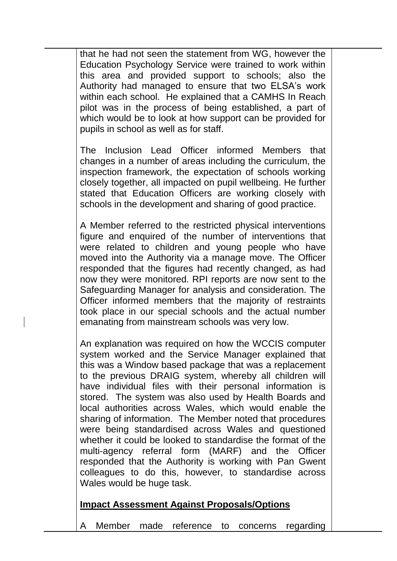that he had not seen the statement from WG, however the Education Psychology Service were trained to work within this area and provided support to schools; also the Authority had managed to ensure that two ELSA's work within each school. He explained that a CAMHS In Reach pilot was in the process of being established, a part of which would be to look at how support can be provided for pupils in school as well as for staff.

The Inclusion Lead Officer informed Members that changes in a number of areas including the curriculum, the inspection framework, the expectation of schools working closely together, all impacted on pupil wellbeing. He further stated that Education Officers are working closely with schools in the development and sharing of good practice.

A Member referred to the restricted physical interventions figure and enquired of the number of interventions that were related to children and young people who have moved into the Authority via a manage move. The Officer responded that the figures had recently changed, as had now they were monitored. RPI reports are now sent to the Safeguarding Manager for analysis and consideration. The Officer informed members that the majority of restraints took place in our special schools and the actual number emanating from mainstream schools was very low.

An explanation was required on how the WCCIS computer system worked and the Service Manager explained that this was a Window based package that was a replacement to the previous DRAIG system, whereby all children will have individual files with their personal information is stored. The system was also used by Health Boards and local authorities across Wales, which would enable the sharing of information. The Member noted that procedures were being standardised across Wales and questioned whether it could be looked to standardise the format of the multi-agency referral form (MARF) and the Officer responded that the Authority is working with Pan Gwent colleagues to do this, however, to standardise across Wales would be huge task.

## **Impact Assessment Against Proposals/Options**

Member made reference to concerns regarding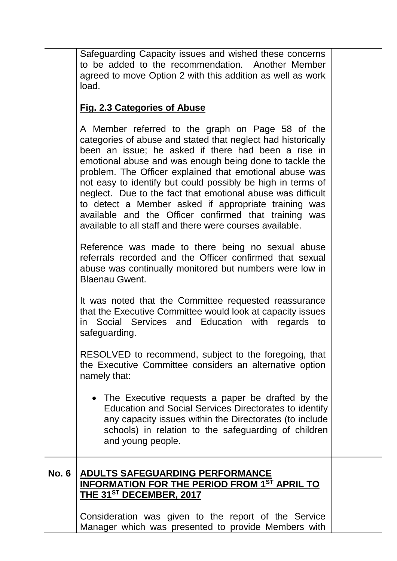Safeguarding Capacity issues and wished these concerns to be added to the recommendation. Another Member agreed to move Option 2 with this addition as well as work load.

## **Fig. 2.3 Categories of Abuse**

A Member referred to the graph on Page 58 of the categories of abuse and stated that neglect had historically been an issue; he asked if there had been a rise in emotional abuse and was enough being done to tackle the problem. The Officer explained that emotional abuse was not easy to identify but could possibly be high in terms of neglect. Due to the fact that emotional abuse was difficult to detect a Member asked if appropriate training was available and the Officer confirmed that training was available to all staff and there were courses available.

Reference was made to there being no sexual abuse referrals recorded and the Officer confirmed that sexual abuse was continually monitored but numbers were low in Blaenau Gwent.

It was noted that the Committee requested reassurance that the Executive Committee would look at capacity issues in Social Services and Education with regards to safeguarding.

RESOLVED to recommend, subject to the foregoing, that the Executive Committee considers an alternative option namely that:

 The Executive requests a paper be drafted by the Education and Social Services Directorates to identify any capacity issues within the Directorates (to include schools) in relation to the safeguarding of children and young people.

### **No. 6 ADULTS SAFEGUARDING PERFORMANCE INFORMATION FOR THE PERIOD FROM 1ST APRIL TO THE 31ST DECEMBER, 2017**

Consideration was given to the report of the Service Manager which was presented to provide Members with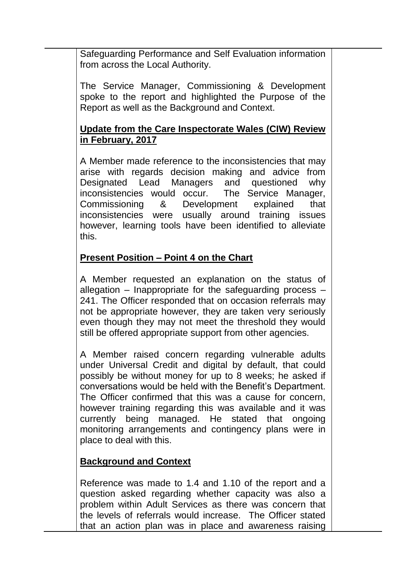Safeguarding Performance and Self Evaluation information from across the Local Authority.

The Service Manager, Commissioning & Development spoke to the report and highlighted the Purpose of the Report as well as the Background and Context.

### **Update from the Care Inspectorate Wales (CIW) Review in February, 2017**

A Member made reference to the inconsistencies that may arise with regards decision making and advice from Designated Lead Managers and questioned why inconsistencies would occur. The Service Manager, Commissioning & Development explained that inconsistencies were usually around training issues however, learning tools have been identified to alleviate this.

## **Present Position – Point 4 on the Chart**

A Member requested an explanation on the status of allegation – Inappropriate for the safeguarding process – 241. The Officer responded that on occasion referrals may not be appropriate however, they are taken very seriously even though they may not meet the threshold they would still be offered appropriate support from other agencies.

A Member raised concern regarding vulnerable adults under Universal Credit and digital by default, that could possibly be without money for up to 8 weeks; he asked if conversations would be held with the Benefit's Department. The Officer confirmed that this was a cause for concern, however training regarding this was available and it was currently being managed. He stated that ongoing monitoring arrangements and contingency plans were in place to deal with this.

## **Background and Context**

Reference was made to 1.4 and 1.10 of the report and a question asked regarding whether capacity was also a problem within Adult Services as there was concern that the levels of referrals would increase. The Officer stated that an action plan was in place and awareness raising